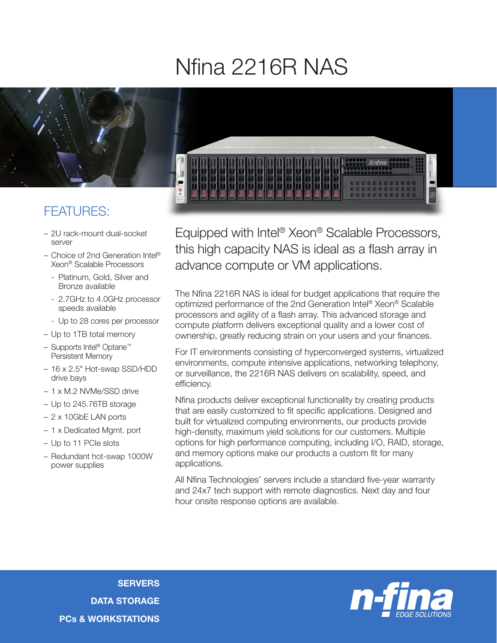## Nfina 2216R NAS



## FEATURES:

- 2U rack-mount dual-socket server
- Choice of 2nd Generation Intel® Xeon® Scalable Processors
	- Platinum, Gold, Silver and Bronze available
	- 2.7GHz to 4.0GHz processor speeds available
	- Up to 28 cores per processor
- Up to 1TB total memory
- Supports Intel® Optane™ Persistent Memory
- 16 x 2.5" Hot-swap SSD/HDD drive bays
- 1 x M.2 NVMe/SSD drive
- Up to 245.76TB storage
- 2 x 10GbE LAN ports
- 1 x Dedicated Mgmt. port
- Up to 11 PCIe slots
- Redundant hot-swap 1000W power supplies



Equipped with Intel® Xeon® Scalable Processors, this high capacity NAS is ideal as a flash array in advance compute or VM applications.

The Nfina 2216R NAS is ideal for budget applications that require the optimized performance of the 2nd Generation Intel® Xeon® Scalable processors and agility of a flash array. This advanced storage and compute platform delivers exceptional quality and a lower cost of ownership, greatly reducing strain on your users and your finances.

For IT environments consisting of hyperconverged systems, virtualized environments, compute intensive applications, networking telephony, or surveillance, the 2216R NAS delivers on scalability, speed, and efficiency.

Nfina products deliver exceptional functionality by creating products that are easily customized to fit specific applications. Designed and built for virtualized computing environments, our products provide high-density, maximum yield solutions for our customers. Multiple options for high performance computing, including I/O, RAID, storage, and memory options make our products a custom fit for many applications.

All Nfina Technologies' servers include a standard five-year warranty and 24x7 tech support with remote diagnostics. Next day and four hour onsite response options are available.

**SERVERS** DATA STORAGE PCs & WORKSTATIONS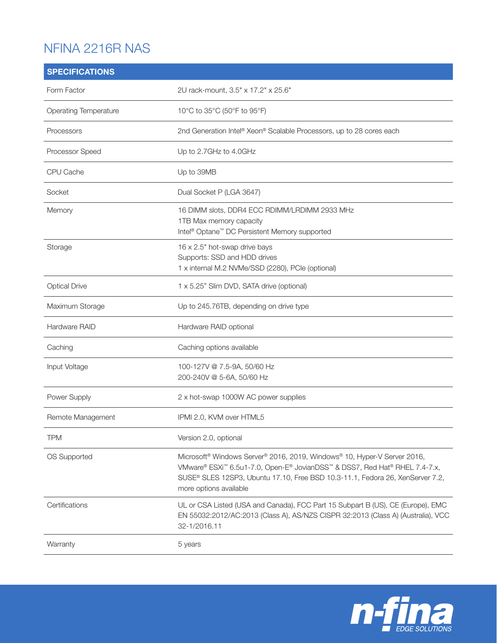## NFINA 2216R NAS

| <b>SPECIFICATIONS</b>        |                                                                                                                                                                                                                                                                               |
|------------------------------|-------------------------------------------------------------------------------------------------------------------------------------------------------------------------------------------------------------------------------------------------------------------------------|
| Form Factor                  | 2U rack-mount, 3.5" x 17.2" x 25.6"                                                                                                                                                                                                                                           |
| <b>Operating Temperature</b> | 10°C to 35°C (50°F to 95°F)                                                                                                                                                                                                                                                   |
| Processors                   | 2nd Generation Intel® Xeon® Scalable Processors, up to 28 cores each                                                                                                                                                                                                          |
| Processor Speed              | Up to 2.7GHz to 4.0GHz                                                                                                                                                                                                                                                        |
| CPU Cache                    | Up to 39MB                                                                                                                                                                                                                                                                    |
| Socket                       | Dual Socket P (LGA 3647)                                                                                                                                                                                                                                                      |
| Memory                       | 16 DIMM slots, DDR4 ECC RDIMM/LRDIMM 2933 MHz<br>1TB Max memory capacity<br>Intel <sup>®</sup> Optane <sup>™</sup> DC Persistent Memory supported                                                                                                                             |
| Storage                      | 16 x 2.5" hot-swap drive bays<br>Supports: SSD and HDD drives<br>1 x internal M.2 NVMe/SSD (2280), PCIe (optional)                                                                                                                                                            |
| <b>Optical Drive</b>         | 1 x 5.25" Slim DVD, SATA drive (optional)                                                                                                                                                                                                                                     |
| Maximum Storage              | Up to 245.76TB, depending on drive type                                                                                                                                                                                                                                       |
| Hardware RAID                | Hardware RAID optional                                                                                                                                                                                                                                                        |
| Caching                      | Caching options available                                                                                                                                                                                                                                                     |
| Input Voltage                | 100-127V @ 7.5-9A, 50/60 Hz<br>200-240V @ 5-6A, 50/60 Hz                                                                                                                                                                                                                      |
| Power Supply                 | 2 x hot-swap 1000W AC power supplies                                                                                                                                                                                                                                          |
| Remote Management            | IPMI 2.0, KVM over HTML5                                                                                                                                                                                                                                                      |
| <b>TPM</b>                   | Version 2.0, optional                                                                                                                                                                                                                                                         |
| OS Supported                 | Microsoft <sup>®</sup> Windows Server® 2016, 2019, Windows® 10, Hyper-V Server 2016,<br>VMware® ESXi™ 6.5u1-7.0, Open-E® JovianDSS™ & DSS7, Red Hat® RHEL 7.4-7.x,<br>SUSE® SLES 12SP3, Ubuntu 17.10, Free BSD 10.3-11.1, Fedora 26, XenServer 7.2,<br>more options available |
| Certifications               | UL or CSA Listed (USA and Canada), FCC Part 15 Subpart B (US), CE (Europe), EMC<br>EN 55032:2012/AC:2013 (Class A), AS/NZS CISPR 32:2013 (Class A) (Australia), VCC<br>32-1/2016.11                                                                                           |
| Warranty                     | 5 years                                                                                                                                                                                                                                                                       |